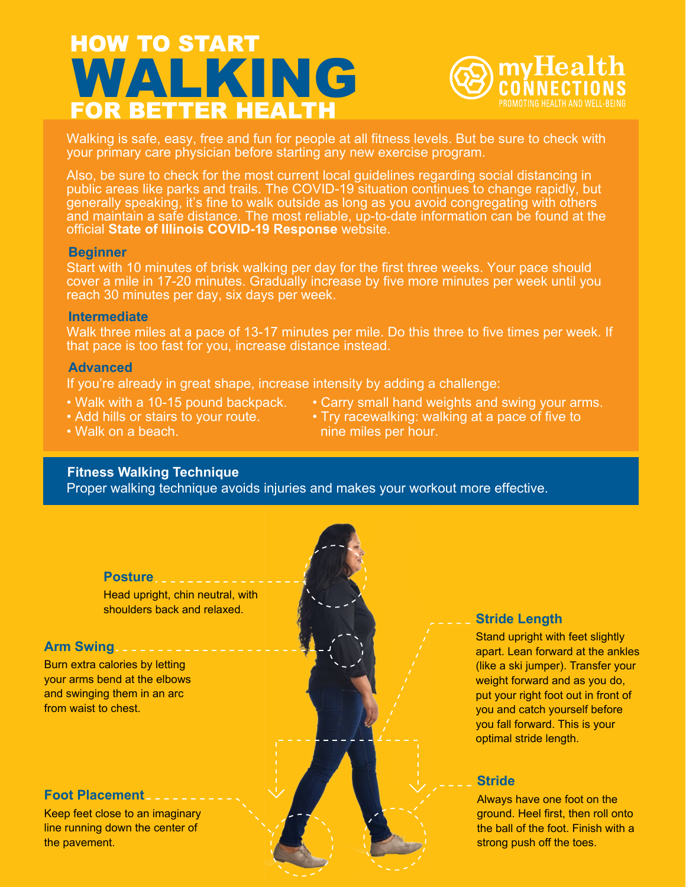## HOW TO START FOR BETTER HEALTH WALKING



Walking is safe, easy, free and fun for people at all fitness levels. But be sure to check with your primary care physician before starting any new exercise program.

Also, be sure to check for the most current local guidelines regarding social distancing in public areas like parks and trails. The COVID-19 situation continues to change rapidly, but generally speaking, it's fine to walk outside as long as you avoid congregating with others and maintain a safe distance. The most reliable, up-to-date information can be found at the official **[State of Illinois COVID-19 Response](https://coronavirus.illinois.gov/s/)** website.

### **Beginner**

Start with 10 minutes of brisk walking per day for the first three weeks. Your pace should cover a mile in 17-20 minutes. Gradually increase by five more minutes per week until you reach 30 minutes per day, six days per week.

### **Intermediate**

Walk three miles at a pace of 13-17 minutes per mile. Do this three to five times per week. If that pace is too fast for you, increase distance instead.

### **Advanced**

If you're already in great shape, increase intensity by adding a challenge:

- Walk with a 10-15 pound backpack.
- Add hills or stairs to your route.
- Carry small hand weights and swing your arms.
- 
- Try racewalking: walking at a pace of five to nine miles per hour.

• Walk on a beach.

### **Fitness Walking Technique**

Proper walking technique avoids injuries and makes your workout more effective.



Head upright, chin neutral, with shoulders back and relaxed.

### **Arm Swing**

Burn extra calories by letting your arms bend at the elbows and swinging them in an arc from waist to chest.

### **Foot Placement**

Keep feet close to an imaginary line running down the center of the pavement.

# **Stride Length**

Stand upright with feet slightly apart. Lean forward at the ankles (like a ski jumper). Transfer your weight forward and as you do, put your right foot out in front of you and catch yourself before you fall forward. This is your optimal stride length.

### **Stride**

Always have one foot on the ground. Heel first, then roll onto the ball of the foot. Finish with a strong push off the toes.